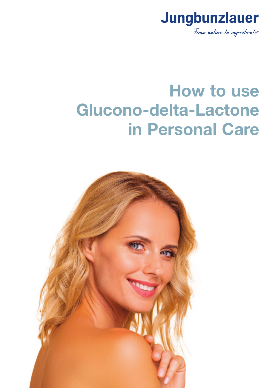

# **How to use Glucono-delta-Lactone in Personal Care**

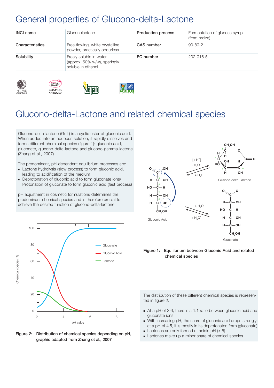# General properties of Glucono-delta-Lactone

denan

| <b>INCI name</b> | Gluconolactone                                                                | <b>Production process</b> | Fermentation of glucose syrup<br>(from maize) |
|------------------|-------------------------------------------------------------------------------|---------------------------|-----------------------------------------------|
| Characteristics  | Free-flowing, white crystalline<br>powder, practically odourless              | CAS number                | $90 - 80 - 2$                                 |
| Solubility       | Freely soluble in water<br>(approx. 50% w/w), sparingly<br>soluble in ethanol | EC number                 | 202-016-5                                     |







# Glucono-delta-Lactone and related chemical species

Glucono-delta-lactone (GdL) is a cyclic ester of gluconic acid. When added into an aqueous solution, it rapidly dissolves and forms different chemical species (figure 1): gluconic acid, gluconate, glucono-delta-lactone and glucono-gamma-lactone (Zhang et al., 2007).

The predominant, pH-dependent equilibrium processes are:

- **Lactone hydrolysis (slow process) to form gluconic acid,** leading to acidification of the medium
- Deprotonation of gluconic acid to form gluconate ions/ Protonation of gluconate to form gluconic acid (fast process)

pH adjustment in cosmetic formulations determines the predominant chemical species and is therefore crucial to achieve the desired function of glucono-delta-lactone.



**Figure 2: Distribution of chemical species depending on pH, graphic adapted from Zhang et al., 2007**



**Figure 1: Equilibrium between Gluconic Acid and related chemical species**

The distribution of these different chemical species is represented in figure 2:

- At a pH of 3.6, there is a 1:1 ratio between gluconic acid and gluconate ions
- With increasing pH, the share of gluconic acid drops strongly: at a pH of 4.5, it is mostly in its deprotonated form (gluconate)
- $\blacksquare$  Lactones are only formed at acidic pH (< 5)
- **Lactones make up a minor share of chemical species**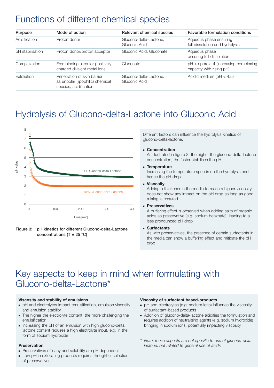# Functions of different chemical species

| <b>Purpose</b>   | Mode of action                                                                            | Relevant chemical species               | <b>Favorable formulation conditions</b>                             |  |
|------------------|-------------------------------------------------------------------------------------------|-----------------------------------------|---------------------------------------------------------------------|--|
| Acidification    | Proton donor                                                                              | Glucono-delta-Lactone,<br>Gluconic Acid | Aqueous phase ensuring<br>full dissolution and hydrolysis           |  |
| pH stabilisation | Proton donor/proton acceptor                                                              | Gluconic Acid, Gluconate                | Aqueous phase<br>ensuring full dissolution                          |  |
| Complexation     | Free binding sites for positively<br>charged divalent metal ions                          | Gluconate                               | $pH >$ approx. 4 (increasing complexing<br>capacity with rising pH) |  |
| Exfoliation      | Penetration of skin barrier<br>as unpolar (lipophilic) chemical<br>species, acidification | Glucono-delta-Lactone,<br>Gluconic Acid | Acidic medium ( $pH < 4.5$ )                                        |  |

# Hydrolysis of Glucono-delta-Lactone into Gluconic Acid



**Figure 3: pH kinetics for different Glucono-delta-Lactone concentrations (T = 25 °C)**

Different factors can influence the hydrolysis kinetics of glucono-delta-lactone.

#### - **Concentration**

 As illustrated in figure 3, the higher the glucono-delta-lactone concentration, the faster stabilises the pH

#### - **Temperature**

 Increasing the temperature speeds up the hydrolysis and hence the pH drop

#### - **Viscosity**

 Adding a thickener in the media to reach a higher viscosity does not show any impact on the pH drop as long as good mixing is ensured

#### - **Preservatives**

 A buffering effect is observed when adding salts of organic acids as preservative (e.g. sodium benzoate), leading to a less pronounced pH drop

- **Surfactants**

 As with preservatives, the presence of certain surfactants in the media can show a buffering effect and mitigate the pH drop

# Key aspects to keep in mind when formulating with Glucono-delta-Lactone\*

#### **Viscosity and stability of emulsions**

- pH and electrolytes impact emulsification, emulsion viscosity and emulsion stability
- The higher the electrolyte content, the more challenging the emulsification
- Increasing the pH of an emulsion with high glucono-delta lactone content requires a high electrolyte input, e.g. in the form of sodium hydroxide

#### **Preservation**

- Preservatives efficacy and solubility are pH dependent
- **Low pH in exfoliating products requires thoughtful selection** of preservatives

#### **Viscosity of surfactant based-products**

- pH and electrolytes (e.g. sodium ions) influence the viscosity of surfactant-based products
- Addition of glucono-delta-lactone acidifies the formulation and requires addition of neutralising agents (e.g. sodium hydroxide) bringing in sodium ions, potentially impacting viscosity
- *\* Note: these aspects are not specific to use of glucono-delta lactone, but related to general use of acids.*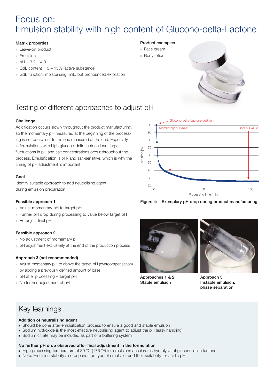# Focus on: Emulsion stability with high content of Glucono-delta-Lactone

#### **Matrix properties**

- **Leave-on product**
- **Emulsion**
- $pH = 3.2 4.0$
- GdL content = 3 15% (active substance)
- GdL function: moisturising, mild but pronounced exfoliation

#### **Product examples**

- Face cream
- **Body lotion**

100

●



### Testing of different approaches to adjust pH

#### **Challenge**

Acidification occurs slowly throughout the product manufacturing, so the momentary pH measured at the beginning of the processing is not equivalent to the one measured at the end. Especially in formulations with high glucono-delta-lactone load, large fluctuations in pH and salt concentrations occur throughout the process. Emulsification is pH- and salt-sensitive, which is why the timing of pH adjustment is important.

#### **Goal**

Identify suitable approach to add neutralising agent during emulsion preparation

#### **Feasible approach 1**

- Adjust momentary pH to target pH
- Further pH drop during processing to value below target pH
- Re-adjust final pH

#### **Feasible approach 2**

- No adjustment of momentary pH
- pH adjustment exclusively at the end of the production process

#### **Approach 3 (not recommended)**

- Adjust momentary pH to above the target pH (overcompensation) by adding a previously defined amount of base
- pH after processing = target pH
- No further adjustment of pH



Glucono-delta-Lactone addition

Momentary pH value **Final pH** value

**Figure 4: Exemplary pH drop during product manufacturing**



**Approaches 1 & 2: Stable emulsion**



**Approach 3: Instable emulsion, phase separation**

### Key learnings

#### **Addition of neutralising agent**

- Should be done after emulsification process to ensure a good and stable emulsion
- Sodium hydroxide is the most effective neutralising agent to adjust the pH (easy handling)
- **Sodium citrate may be included as part of a buffering system**

#### **No further pH drop observed after final adjustment in the formulation**

- $\bullet$  High processing temperature of 80 °C (176 °F) for emulsions accelerates hydrolysis of glucono-delta-lactone
- Note: Emulsion stability also depends on type of emulsifier and their suitability for acidic pH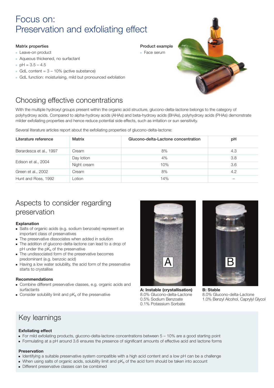# Focus on: Preservation and exfoliating effect

#### **Matrix properties**

- **Leave-on product**
- Aqueous thickened, no surfactant
- $pH = 3.5 4.5$
- GdL content = 3 10% (active substance)
- GdL function: moisturising, mild but pronounced exfoliation



### Choosing effective concentrations

With the multiple hydroxyl groups present within the organic acid structure, glucono-delta-lactone belongs to the category of polyhydroxy acids. Compared to alpha-hydroxy acids (AHAs) and beta-hydroxy acids (BHAs), polyhydroxy acids (PHAs) demonstrate milder exfoliating properties and hence reduce potential side effects, such as irritation or sun sensitivity.

Several literature articles report about the exfoliating properties of glucono-delta-lactone:

| Literature reference    | <b>Matrix</b> | Glucono-delta-Lactone concentration | рH  |
|-------------------------|---------------|-------------------------------------|-----|
| Berardesca et al., 1997 | Cream         | 8%                                  | 4.3 |
|                         | Day lotion    | 4%                                  | 3.8 |
| Edison et al., 2004     | Night cream   | 10%                                 | 3.6 |
| Green et al., 2002      | Cream         | 8%                                  | 4.2 |
| Hunt and Ross, 1992     | Lotion        | 14%                                 |     |

### Aspects to consider regarding preservation

#### **Explanation**

- Salts of organic acids (e.g. sodium benzoate) represent an important class of preservatives
- The preservative dissociates when added in solution
- The addition of glucono-delta-lactone can lead to a drop of pH under the pKa of the preservative
- The undissociated form of the preservative becomes predominant (e.g. benzoic acid)
- Having a low water solubility, the acid form of the preservative starts to crystallise

#### **Recommendations**

- Combine different preservative classes, e.g. organic acids and surfactants
- $\blacksquare$  Consider solubility limit and pK $_{\rm a}$  of the preservative



**A: Instable (crystallisation)** 8.0% Glucono-delta-Lactone 0.5% Sodium Benzoate 0.1% Potassium Sorbate



### Key learnings

#### **Exfoliating effect**

- For mild exfoliating products, glucono-delta-lactone concentrations between 5 10% are a good starting point
- Formulating at a pH around 3.6 ensures the presence of significant amounts of effective acid and lactone forms

#### **Preservation**

- Identifying a suitable preservative system compatible with a high acid content and a low pH can be a challenge
- $\bullet$  When using salts of organic acids, solubility limit and p $\mathsf{K}_\mathrm{a}$  of the acid form should be taken into account
- Different preservative classes can be combined